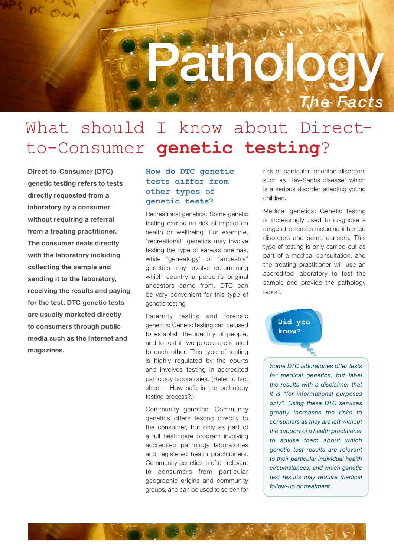

# What should I know about Directto-Consumer **genetic testing**?

**Direct-to-Consumer (DTC) genetic testing refers to tests directly requested from a laboratory by a consumer without requiring a referral from a treating practitioner. The consumer deals directly with the laboratory including collecting the sample and sending it to the laboratory, receiving the results and paying for the test. DTC genetic tests are usually marketed directly to consumers through public media such as the Internet and magazines.**

# **How do DTC genetic tests differ from other types of genetic tests?**

Recreational genetics: Some genetic testing carries no risk of impact on health or wellbeing. For example, "recreational" genetics may involve testing the type of earwax one has, while "genealogy" or "ancestry" genetics may involve determining which country a person's original ancestors came from. DTC can be very convenient for this type of genetic testing.

Paternity testing and forensic genetics: Genetic testing can be used to establish the identity of people, and to test if two people are related to each other. This type of testing is highly regulated by the courts and involves testing in accredited pathology laboratories. (Refer to fact sheet - How safe is the pathology testing process?.)

Community genetics: Community genetics offers testing directly to the consumer, but only as part of a full healthcare program involving accredited pathology laboratories and registered health practitioners. Community genetics is often relevant to consumers from particular geographic origins and community groups, and can be used to screen for

risk of particular inherited disorders such as "Tay-Sachs disease" which is a serious disorder affecting young children.

Medical genetics: Genetic testing is increasingly used to diagnose a range of diseases including inherited disorders and some cancers. This type of testing is only carried out as part of a medical consultation, and the treating practitioner will use an accredited laboratory to test the sample and provide the pathology report.



*Some DTC laboratories offer tests for medical genetics, but label the results with a disclaimer that it is "for informational purposes only". Using these DTC services greatly increases the risks to consumers as they are left without the support of a health practitioner to advise them about which genetic test results are relevant to their particular individual health circumstances, and which genetic test results may require medical follow-up or treatment.*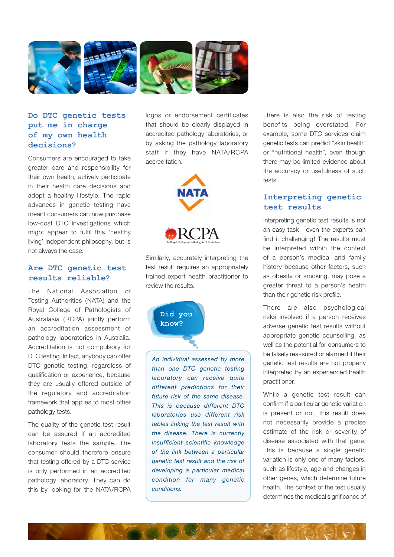

# **Do DTC genetic tests put me in charge of my own health decisions?**

Consumers are encouraged to take greater care and responsibility for their own health, actively participate in their health care decisions and adopt a healthy lifestyle. The rapid advances in genetic testing have meant consumers can now purchase low-cost DTC investigations which might appear to fulfil this 'healthy living' independent philosophy, but is not always the case.

#### **Are DTC genetic test results reliable?**

The National Association of Testing Authorities (NATA) and the Royal College of Pathologists of Australasia (RCPA) jointly perform an accreditation assessment of pathology laboratories in Australia. Accreditation is not compulsory for DTC testing. In fact, anybody can offer DTC genetic testing, regardless of qualification or experience, because they are usually offered outside of the regulatory and accreditation framework that applies to most other pathology tests.

The quality of the genetic test result can be assured if an accredited laboratory tests the sample. The consumer should therefore ensure that testing offered by a DTC service is only performed in an accredited pathology laboratory. They can do this by looking for the NATA/RCPA logos or endorsement certificates that should be clearly displayed in accredited pathology laboratories, or by asking the pathology laboratory staff if they have NATA/RCPA accreditation.



Similarly, accurately interpreting the test result requires an appropriately trained expert health practitioner to review the results.



*An individual assessed by more than one DTC genetic testing laboratory can receive quite different predictions for their future risk of the same disease. This is because different DTC laboratories use different risk tables linking the test result with the disease. There is currently insufficient scientific knowledge of the link between a particular genetic test result and the risk of developing a particular medical condition for many genetic conditions.*

There is also the risk of testing benefits being overstated. For example, some DTC services claim genetic tests can predict "skin health" or "nutritional health", even though there may be limited evidence about the accuracy or usefulness of such tests.

### **Interpreting genetic test results**

Interpreting genetic test results is not an easy task - even the experts can find it challenging! The results must be interpreted within the context of a person's medical and family history because other factors, such as obesity or smoking, may pose a greater threat to a person's health than their genetic risk profile.

There are also psychological risks involved if a person receives adverse genetic test results without appropriate genetic counselling, as well as the potential for consumers to be falsely reassured or alarmed if their genetic test results are not properly interpreted by an experienced health practitioner.

While a genetic test result can confirm if a particular genetic variation is present or not, this result does not necessarily provide a precise estimate of the risk or severity of disease associated with that gene. This is because a single genetic variation is only one of many factors, such as lifestyle, age and changes in other genes, which determine future health. The context of the test usually determines the medical significance of